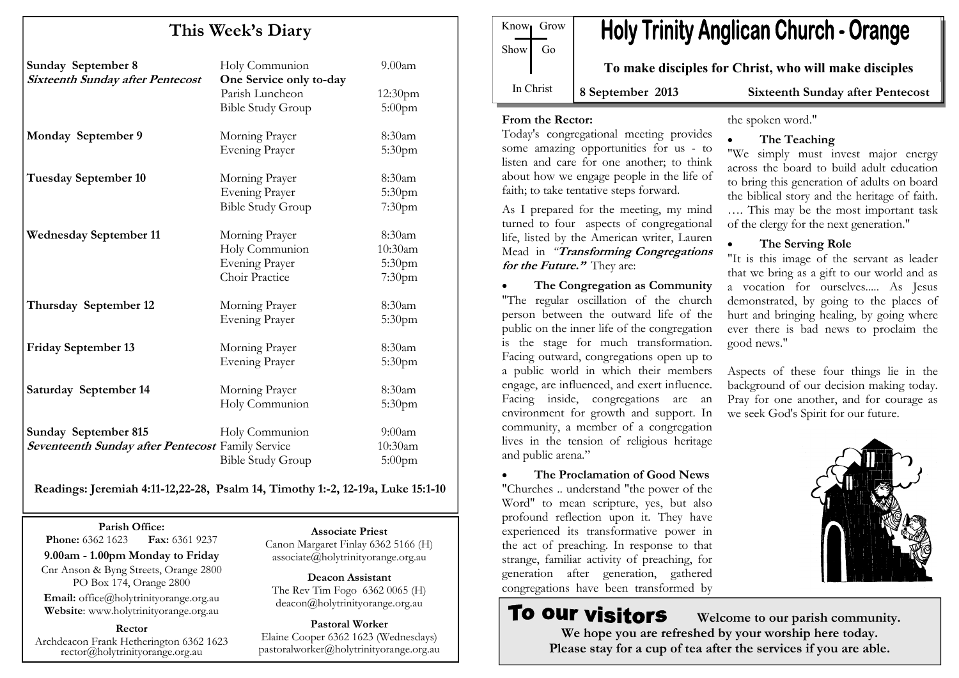# This Week's Diary

| <b>Sunday September 8</b><br><b>Sixteenth Sunday after Pentecost</b> | Holy Communion<br>One Service only to-day | $9.00$ am           |
|----------------------------------------------------------------------|-------------------------------------------|---------------------|
|                                                                      | Parish Luncheon                           | 12:30 <sub>pm</sub> |
|                                                                      | <b>Bible Study Group</b>                  | $5:00$ pm           |
| Monday September 9                                                   | Morning Prayer                            | 8:30am              |
|                                                                      | <b>Evening Prayer</b>                     | 5:30pm              |
| <b>Tuesday September 10</b>                                          | Morning Prayer                            | 8:30am              |
|                                                                      | <b>Evening Prayer</b>                     | 5:30pm              |
|                                                                      | <b>Bible Study Group</b>                  | 7:30pm              |
| <b>Wednesday September 11</b>                                        | Morning Prayer                            | 8:30am              |
|                                                                      | Holy Communion                            | 10:30am             |
|                                                                      | <b>Evening Prayer</b>                     | 5:30pm              |
|                                                                      | Choir Practice                            | 7:30pm              |
| Thursday September 12                                                | Morning Prayer                            | 8:30am              |
|                                                                      | <b>Evening Prayer</b>                     | 5:30pm              |
| <b>Friday September 13</b>                                           | Morning Prayer                            | 8:30am              |
|                                                                      | <b>Evening Prayer</b>                     | 5:30pm              |
| Saturday September 14                                                | Morning Prayer                            | 8:30am              |
|                                                                      | Holy Communion                            | 5:30pm              |
| <b>Sunday September 815</b>                                          | Holy Communion                            | 9:00am              |
| <b>Seventeenth Sunday after Pentecost Family Service</b>             |                                           | 10:30am             |
|                                                                      | <b>Bible Study Group</b>                  | 5:00pm              |

Readings: Jeremiah 4:11-12,22-28, Psalm 14, Timothy 1:-2, 12-19a, Luke 15:1-10

Parish Office: Fax: 6361 9237 **Phone:** 6362 1623 9.00am - 1.00pm Monday to Friday Cnr Anson & Byng Streets, Orange 2800 PO Box 174, Orange 2800 Email: office@holytrinityorange.org.au Website: www.holytrinityorange.org.au

Rector Archdeacon Frank Hetherington 6362 1623 rector@holytrinityorange.org.au

#### Associate Priest

 Canon Margaret Finlay 6362 5166 (H) associate@holytrinityorange.org.au

Deacon Assistant The Rev Tim Fogo 6362 0065 (H) deacon@holytrinityorange.org.au

Pastoral Worker Elaine Cooper 6362 1623 (Wednesdays) pastoralworker@holytrinityorange.org.au

Know<sub>l</sub> Grow  $Show \mid Go$ In Christ

# **Holy Trinity Anglican Church - Orange**

To make disciples for Christ, who will make disciples

8 September 2013 Sixteenth Sunday after Pentecost

#### From the Rector:

 Today's congregational meeting provides some amazing opportunities for us - to listen and care for one another; to think about how we engage people in the life of faith; to take tentative steps forward.

As I prepared for the meeting, my mind turned to four aspects of congregational life, listed by the American writer, Lauren Mead in "Transforming Congregations" for the Future." They are:

• The Congregation as Community "The regular oscillation of the church person between the outward life of the public on the inner life of the congregation is the stage for much transformation. Facing outward, congregations open up to a public world in which their members engage, are influenced, and exert influence. Facing inside, congregations are an environment for growth and support. In community, a member of a congregation lives in the tension of religious heritage and public arena."

The Proclamation of Good News "Churches .. understand "the power of the Word" to mean scripture, yes, but also profound reflection upon it. They have experienced its transformative power in the act of preaching. In response to that strange, familiar activity of preaching, for generation after generation, gathered congregations have been transformed by

# the spoken word."

# The Teaching

 "We simply must invest major energy across the board to build adult education to bring this generation of adults on board the biblical story and the heritage of faith. …. This may be the most important task of the clergy for the next generation."

# • The Serving Role

 "It is this image of the servant as leader that we bring as a gift to our world and as a vocation for ourselves..... As Jesus demonstrated, by going to the places of hurt and bringing healing, by going where ever there is bad news to proclaim the good news."

Aspects of these four things lie in the background of our decision making today. Pray for one another, and for courage as we seek God's Spirit for our future.



**To our visitors**  Welcome to our parish community. We hope you are refreshed by your worship here today. Please stay for a cup of tea after the services if you are able.